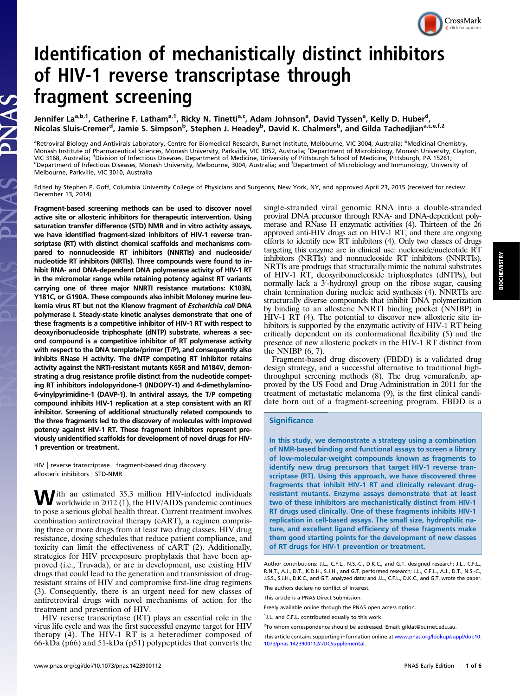# Identification of mechanistically distinct inhibitors of HIV-1 reverse transcriptase through fragment screening

Jennifer La<sup>a,b,1</sup>, Catherine F. Latham<sup>a,1</sup>, Ricky N. Tinetti<sup>a,c</sup>, Adam Johnson<sup>a</sup>, David Tyssen<sup>a</sup>, Kelly D. Huber<sup>d</sup>, Nicolas Sluis-Cremer<sup>d</sup>, Jamie S. Simpson<sup>b</sup>, Stephen J. Headey<sup>b</sup>, David K. Chalmers<sup>b</sup>, and Gilda Tachedjian<sup>a,c.e.f.2</sup>

<sup>a</sup>Retroviral Biology and Antivirals Laboratory, Centre for Biomedical Research, Burnet Institute, Melbourne, VIC 3004, Australia; <sup>b</sup>Medicinal Chemistry, Monash Institute of Pharmaceutical Sciences, Monash University, Parkville, VIC 3052, Australia; <sup>c</sup>Department of Microbiology, Monash University, Clayton, VIC 3168, Australia; <sup>d</sup>Division of Infectious Diseases, Department of Medicine, University of Pittsburgh School of Medicine, Pittsburgh, PA 15261;<br>Department of Infectious Diseases, Monash University, Melbourne, 3004, Aus Department of Infectious Diseases, Monash University, Melbourne, 3004, Australia; and <sup>f</sup>Department of Microbiology and Immunology, University of Melbourne, Parkville, VIC 3010, Australia

Edited by Stephen P. Goff, Columbia University College of Physicians and Surgeons, New York, NY, and approved April 23, 2015 (received for review December 13, 2014)

Fragment-based screening methods can be used to discover novel active site or allosteric inhibitors for therapeutic intervention. Using saturation transfer difference (STD) NMR and in vitro activity assays, we have identified fragment-sized inhibitors of HIV-1 reverse transcriptase (RT) with distinct chemical scaffolds and mechanisms compared to nonnucleoside RT inhibitors (NNRTIs) and nucleoside/ nucleotide RT inhibitors (NRTIs). Three compounds were found to inhibit RNA- and DNA-dependent DNA polymerase activity of HIV-1 RT in the micromolar range while retaining potency against RT variants carrying one of three major NNRTI resistance mutations: K103N, Y181C, or G190A. These compounds also inhibit Moloney murine leukemia virus RT but not the Klenow fragment of Escherichia coli DNA polymerase I. Steady-state kinetic analyses demonstrate that one of these fragments is a competitive inhibitor of HIV-1 RT with respect to deoxyribonucleoside triphosphate (dNTP) substrate, whereas a second compound is a competitive inhibitor of RT polymerase activity with respect to the DNA template/primer (T/P), and consequently also inhibits RNase H activity. The dNTP competing RT inhibitor retains activity against the NRTI-resistant mutants K65R and M184V, demonstrating a drug resistance profile distinct from the nucleotide competing RT inhibitors indolopyridone-1 (INDOPY-1) and 4-dimethylamino-6-vinylpyrimidine-1 (DAVP-1). In antiviral assays, the T/P competing compound inhibits HIV-1 replication at a step consistent with an RT inhibitor. Screening of additional structurally related compounds to the three fragments led to the discovery of molecules with improved potency against HIV-1 RT. These fragment inhibitors represent previously unidentified scaffolds for development of novel drugs for HIV-1 prevention or treatment.

PNAS

HIV | reverse transcriptase | fragment-based drug discovery | allosteric inhibitors | STD-NMR

With an estimated 35.3 million HIV-infected individuals<br>worldwide in 2012 (1), the HIV/AIDS pandemic continues to pose a serious global health threat. Current treatment involves combination antiretroviral therapy (cART), a regimen comprising three or more drugs from at least two drug classes. HIV drug resistance, dosing schedules that reduce patient compliance, and toxicity can limit the effectiveness of cART (2). Additionally, strategies for HIV preexposure prophylaxis that have been approved (i.e., Truvada), or are in development, use existing HIV drugs that could lead to the generation and transmission of drugresistant strains of HIV and compromise first-line drug regimens (3). Consequently, there is an urgent need for new classes of antiretroviral drugs with novel mechanisms of action for the treatment and prevention of HIV.

HIV reverse transcriptase (RT) plays an essential role in the virus life cycle and was the first successful enzyme target for HIV therapy (4). The HIV-1 RT is a heterodimer composed of 66-kDa (p66) and 51-kDa (p51) polypeptides that converts the

single-stranded viral genomic RNA into a double-stranded proviral DNA precursor through RNA- and DNA-dependent polymerase and RNase H enzymatic activities (4). Thirteen of the 26 approved anti-HIV drugs act on HIV-1 RT, and there are ongoing efforts to identify new RT inhibitors (4). Only two classes of drugs targeting this enzyme are in clinical use: nucleoside/nucleotide RT inhibitors (NRTIs) and nonnucleoside RT inhibitors (NNRTIs). NRTIs are prodrugs that structurally mimic the natural substrates of HIV-1 RT, deoxyribonucleoside triphosphates (dNTPs), but normally lack a 3′-hydroxyl group on the ribose sugar, causing chain termination during nucleic acid synthesis (4). NNRTIs are structurally diverse compounds that inhibit DNA polymerization by binding to an allosteric NNRTI binding pocket (NNIBP) in HIV-1 RT (4). The potential to discover new allosteric site inhibitors is supported by the enzymatic activity of HIV-1 RT being critically dependent on its conformational flexibility (5) and the presence of new allosteric pockets in the HIV-1 RT distinct from the NNIBP  $(6, 7)$ .

Fragment-based drug discovery (FBDD) is a validated drug design strategy, and a successful alternative to traditional highthroughput screening methods (8). The drug vemurafenib, approved by the US Food and Drug Administration in 2011 for the treatment of metastatic melanoma (9), is the first clinical candidate born out of a fragment-screening program. FBDD is a

## **Significance**

In this study, we demonstrate a strategy using a combination of NMR-based binding and functional assays to screen a library of low-molecular-weight compounds known as fragments to identify new drug precursors that target HIV-1 reverse transcriptase (RT). Using this approach, we have discovered three fragments that inhibit HIV-1 RT and clinically relevant drugresistant mutants. Enzyme assays demonstrate that at least two of these inhibitors are mechanistically distinct from HIV-1 RT drugs used clinically. One of these fragments inhibits HIV-1 replication in cell-based assays. The small size, hydrophilic nature, and excellent ligand efficiency of these fragments make them good starting points for the development of new classes of RT drugs for HIV-1 prevention or treatment.

The authors declare no conflict of interest.

This article is a PNAS Direct Submission.

CrossMark

Author contributions: J.L., C.F.L., N.S.-C., D.K.C., and G.T. designed research; J.L., C.F.L., R.N.T., A.J., D.T., K.D.H., S.J.H., and G.T. performed research; J.L., C.F.L., A.J., D.T., N.S.-C., J.S.S., S.J.H., D.K.C., and G.T. analyzed data; and J.L., C.F.L., D.K.C., and G.T. wrote the paper.

Freely available online through the PNAS open access option.

<sup>&</sup>lt;sup>1</sup>J.L. and C.F.L. contributed equally to this work.

<sup>&</sup>lt;sup>2</sup>To whom correspondence should be addressed. Email: [gildat@burnet.edu.au](mailto:gildat@burnet.edu.au).

This article contains supporting information online at [www.pnas.org/lookup/suppl/doi:10.](http://www.pnas.org/lookup/suppl/doi:10.1073/pnas.1423900112/-/DCSupplemental) [1073/pnas.1423900112/-/DCSupplemental](http://www.pnas.org/lookup/suppl/doi:10.1073/pnas.1423900112/-/DCSupplemental).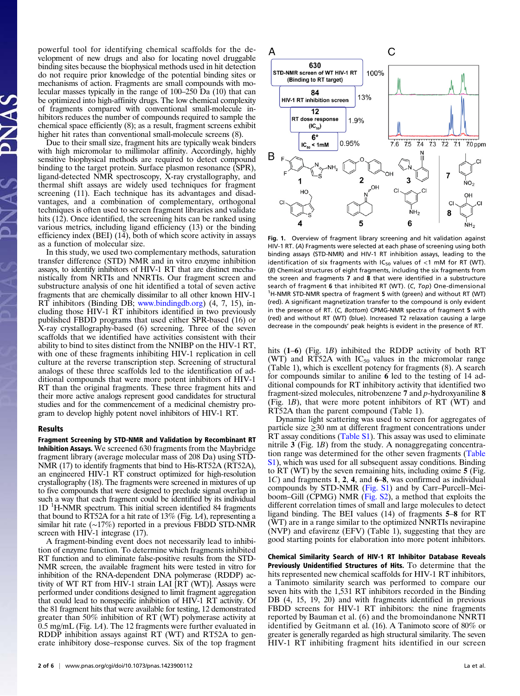powerful tool for identifying chemical scaffolds for the development of new drugs and also for locating novel druggable binding sites because the biophysical methods used in hit detection do not require prior knowledge of the potential binding sites or mechanisms of action. Fragments are small compounds with molecular masses typically in the range of 100–250 Da (10) that can be optimized into high-affinity drugs. The low chemical complexity of fragments compared with conventional small-molecule inhibitors reduces the number of compounds required to sample the chemical space efficiently (8); as a result, fragment screens exhibit higher hit rates than conventional small-molecule screens (8).

Due to their small size, fragment hits are typically weak binders with high micromolar to millimolar affinity. Accordingly, highly sensitive biophysical methods are required to detect compound binding to the target protein. Surface plasmon resonance (SPR), ligand-detected NMR spectroscopy, X-ray crystallography, and thermal shift assays are widely used techniques for fragment screening (11). Each technique has its advantages and disadvantages, and a combination of complementary, orthogonal techniques is often used to screen fragment libraries and validate hits (12). Once identified, the screening hits can be ranked using various metrics, including ligand efficiency (13) or the binding efficiency index (BEI)  $(14)$ , both of which score activity in assays as a function of molecular size.

In this study, we used two complementary methods, saturation transfer difference (STD) NMR and in vitro enzyme inhibition assays, to identify inhibitors of HIV-1 RT that are distinct mechanistically from NRTIs and NNRTIs. Our fragment screen and substructure analysis of one hit identified a total of seven active fragments that are chemically dissimilar to all other known HIV-1 RT inhibitors (Binding DB; [www.bindingdb.org](http://www.bindingdb.org/)) (4, 7, 15), including those HIV-1 RT inhibitors identified in two previously published FBDD programs that used either SPR-based (16) or X-ray crystallography-based (6) screening. Three of the seven scaffolds that we identified have activities consistent with their ability to bind to sites distinct from the NNIBP on the HIV-1 RT, with one of these fragments inhibiting HIV-1 replication in cell culture at the reverse transcription step. Screening of structural analogs of these three scaffolds led to the identification of additional compounds that were more potent inhibitors of HIV-1 RT than the original fragments. These three fragment hits and their more active analogs represent good candidates for structural studies and for the commencement of a medicinal chemistry program to develop highly potent novel inhibitors of HIV-1 RT.

#### Results

Fragment Screening by STD-NMR and Validation by Recombinant RT Inhibition Assays. We screened 630 fragments from the Maybridge fragment library (average molecular mass of 208 Da) using STD-NMR (17) to identify fragments that bind to His-RT52A (RT52A), an engineered HIV-1 RT construct optimized for high-resolution crystallography (18). The fragments were screened in mixtures of up to five compounds that were designed to preclude signal overlap in such a way that each fragment could be identified by its individual 1D <sup>1</sup>H-NMR spectrum. This initial screen identified 84 fragments that bound to RT52A for a hit rate of 13% (Fig. 1A), representing a similar hit rate (∼17%) reported in a previous FBDD STD-NMR screen with HIV-1 integrase (17).

A fragment-binding event does not necessarily lead to inhibition of enzyme function. To determine which fragments inhibited RT function and to eliminate false-positive results from the STD-NMR screen, the available fragment hits were tested in vitro for inhibition of the RNA-dependent DNA polymerase (RDDP) activity of WT RT from HIV-1 strain LAI [RT (WT)]. Assays were performed under conditions designed to limit fragment aggregation that could lead to nonspecific inhibition of HIV-1 RT activity. Of the 81 fragment hits that were available for testing, 12 demonstrated greater than 50% inhibition of RT (WT) polymerase activity at 0.5 mg/mL (Fig. 1A). The 12 fragments were further evaluated in RDDP inhibition assays against RT (WT) and RT52A to generate inhibitory dose–response curves. Six of the top fragment



Fig. 1. Overview of fragment library screening and hit validation against HIV-1 RT. (A) Fragments were selected at each phase of screening using both binding assays (STD-NMR) and HIV-1 RT inhibition assays, leading to the identification of six fragments with  $IC_{50}$  values of <1 mM for RT (WT). (B) Chemical structures of eight fragments, including the six fragments from the screen and fragments 7 and 8 that were identified in a substructure search of fragment 6 that inhibited RT (WT). (C, Top) One-dimensional <sup>1</sup>H-NMR STD-NMR spectra of fragment 5 with (green) and without RT (WT) (red). A significant magnetization transfer to the compound is only evident in the presence of RT. (C, Bottom) CPMG-NMR spectra of fragment 5 with (red) and without RT (WT) (blue). Increased T2 relaxation causing a large decrease in the compounds' peak heights is evident in the presence of RT.

hits (1–6) (Fig. 1*B*) inhibited the RDDP activity of both RT (WT) and RT52A with  $IC_{50}$  values in the micromolar range (Table 1), which is excellent potency for fragments (8). A search for compounds similar to aniline 6 led to the testing of 14 additional compounds for RT inhibitory activity that identified two fragment-sized molecules, nitrobenzene 7 and p-hydroxyaniline 8 (Fig. 1B), that were more potent inhibitors of RT (WT) and RT52A than the parent compound (Table 1).

Dynamic light scattering was used to screen for aggregates of particle size ≥30 nm at different fragment concentrations under RT assay conditions [\(Table S1\)](http://www.pnas.org/lookup/suppl/doi:10.1073/pnas.1423900112/-/DCSupplemental/pnas.201423900SI.pdf?targetid=nameddest=ST1). This assay was used to eliminate nitrile 3 (Fig. 1*B*) from the study. A nonaggregating concentration range was determined for the other seven fragments ([Table](http://www.pnas.org/lookup/suppl/doi:10.1073/pnas.1423900112/-/DCSupplemental/pnas.201423900SI.pdf?targetid=nameddest=ST1) [S1\)](http://www.pnas.org/lookup/suppl/doi:10.1073/pnas.1423900112/-/DCSupplemental/pnas.201423900SI.pdf?targetid=nameddest=ST1), which was used for all subsequent assay conditions. Binding to RT (WT) by the seven remaining hits, including oxime 5 (Fig. 1C) and fragments 1, 2, 4, and 6–8, was confirmed as individual compounds by STD-NMR ([Fig. S1](http://www.pnas.org/lookup/suppl/doi:10.1073/pnas.1423900112/-/DCSupplemental/pnas.201423900SI.pdf?targetid=nameddest=SF1)) and by Carr–Purcell–Meiboom–Gill (CPMG) NMR ([Fig. S2\)](http://www.pnas.org/lookup/suppl/doi:10.1073/pnas.1423900112/-/DCSupplemental/pnas.201423900SI.pdf?targetid=nameddest=SF2), a method that exploits the different correlation times of small and large molecules to detect ligand binding. The BEI values (14) of fragments 5–8 for RT (WT) are in a range similar to the optimized NNRTIs nevirapine (NVP) and efavirenz (EFV) (Table 1), suggesting that they are good starting points for elaboration into more potent inhibitors.

Chemical Similarity Search of HIV-1 RT Inhibitor Database Reveals Previously Unidentified Structures of Hits. To determine that the hits represented new chemical scaffolds for HIV-1 RT inhibitors, a Tanimoto similarity search was performed to compare our seven hits with the 1,531 RT inhibitors recorded in the Binding DB  $(4, 15, 19, 20)$  and with fragments identified in previous FBDD screens for HIV-1 RT inhibitors: the nine fragments reported by Bauman et al. (6) and the bromoindanone NNRTI identified by Geitmann et al. (16). A Tanimoto score of 80% or greater is generally regarded as high structural similarity. The seven HIV-1 RT inhibiting fragment hits identified in our screen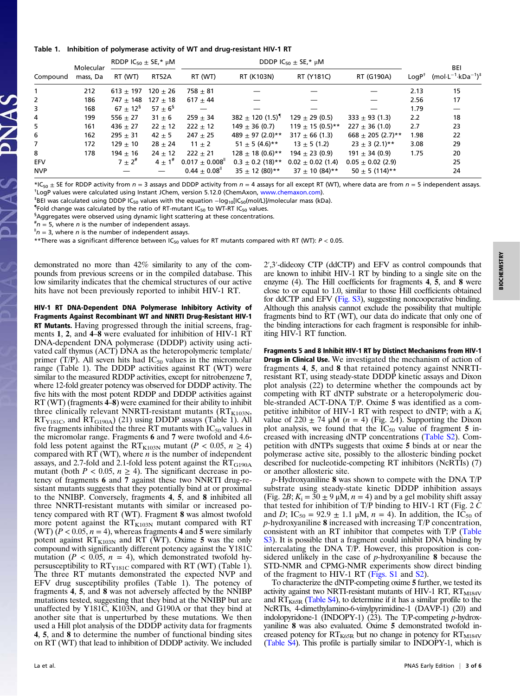#### Table 1. Inhibition of polymerase activity of WT and drug-resistant HIV-1 RT

| Compound   | Molecular<br>mass. Da | RDDP $IC_{50}$ $\pm$ SE,* $\mu$ M |             | DDDP $IC_{50}$ $\pm$ SE,* $\mu$ M |                                  |                       |                       |                    | BEI                                            |
|------------|-----------------------|-----------------------------------|-------------|-----------------------------------|----------------------------------|-----------------------|-----------------------|--------------------|------------------------------------------------|
|            |                       | RT (WT)                           | RT52A       | RT (WT)                           | RT (K103N)                       | RT (Y181C)            | RT (G190A)            | LongP <sup>†</sup> | $(mol \cdot L^{-1} \cdot kDa^{-1})^{\ddagger}$ |
|            | 212                   | $613 + 197$                       | $120 + 26$  | $758 + 81$                        |                                  |                       |                       | 2.13               | 15                                             |
| 2          | 186                   | $747 + 148$                       | $127 + 18$  | $617 + 44$                        |                                  |                       |                       | 2.56               | 17                                             |
| 3          | 168                   | $67 \pm 12^{5}$                   | $57 + 6^5$  |                                   |                                  |                       |                       | 1.79               |                                                |
| 4          | 199                   | $556 + 27$                        | $31 \pm 6$  | $259 + 34$                        | $382 \pm 120$ (1.5) <sup>1</sup> | $129 + 29(0.5)$       | $333 \pm 93$ (1.3)    | 2.2                | 18                                             |
| 5          | 161                   | $436 + 27$                        | $22 + 12$   | $222 + 12$                        | $149 \pm 36(0.7)$                | $119 \pm 15(0.5)$ **  | $227 \pm 36(1.0)$     | 2.7                | 23                                             |
| 6          | 162                   | $295 + 31$                        | $42 \pm 5$  | $247 \pm 25$                      | 489 $\pm$ 97 (2.0)**             | $317 \pm 66$ (1.3)    | $668 \pm 205$ (2.7)** | 1.98               | 22                                             |
| 7          | 172                   | $129 + 10$                        | $28 + 24$   | $11 + 2$                          | $51 \pm 5(4.6)$ **               | $13 \pm 5(1.2)$       | $23 \pm 3$ (2.1)**    | 3.08               | 29                                             |
| 8          | 178                   | $194 + 16$                        | $24 \pm 12$ | $222 \pm 21$                      | $128 \pm 18(0.6)$ **             | $194 \pm 23(0.9)$     | $191 \pm 34(0.9)$     | 1.75               | 20                                             |
| <b>EFV</b> |                       | $7 + 2^{\#}$                      | $4 + 1$     | $0.017 \pm 0.008$ <sup>"</sup>    | $0.3 \pm 0.2$ (18)**             | $0.02 \pm 0.02$ (1.4) | $0.05 \pm 0.02$ (2.9) |                    | 25                                             |
| <b>NVP</b> |                       |                                   |             | $0.44 \pm 0.08$ <sup>II</sup>     | $35 + 12(80)$ **                 | $37 + 10(84)$ **      | $50 + 5(114)$ **      |                    | 24                                             |

\*IC<sub>50</sub>  $\pm$  SE for RDDP activity from  $n = 3$  assays and DDDP activity from  $n = 4$  assays for all except RT (WT), where data are from  $n = 5$  independent assays. <sup>†</sup>LogP values were calculated using Instant JChem, version 5.12.0 (ChemAxon, [www.chemaxon.com\)](http://www.chemaxon.com/).

<sup>‡</sup>BEI was calculated using DDDP IC<sub>50</sub> values with the equation –log<sub>10</sub>[IC<sub>50</sub>(mol/L)]/molecular mass (kDa).

**Fold change was calculated by the ratio of RT-mutant IC<sub>50</sub> to WT-RT IC<sub>50</sub> values.<br><sup>§</sup>Angregates were observed using dynamic light scattering at these concentration** 

<sup>§</sup>Aggregates were observed using dynamic light scattering at these concentrations.

 $\mu^*$  = 5, where *n* is the number of independent assays.

 $\pi n = 3$ , where *n* is the number of independent assays.

\*\*There was a significant difference between IC<sub>50</sub> values for RT mutants compared with RT (WT):  $P < 0.05$ .

demonstrated no more than 42% similarity to any of the compounds from previous screens or in the compiled database. This low similarity indicates that the chemical structures of our active hits have not been previously reported to inhibit HIV-1 RT.

HIV-1 RT DNA-Dependent DNA Polymerase Inhibitory Activity of Fragments Against Recombinant WT and NNRTI Drug-Resistant HIV-1 RT Mutants. Having progressed through the initial screens, fragments 1, 2, and 4–8 were evaluated for inhibition of HIV-1 RT DNA-dependent DNA polymerase (DDDP) activity using activated calf thymus (ACT) DNA as the heteropolymeric template/ primer (T/P). All seven hits had  $IC_{50}$  values in the micromolar range (Table 1). The DDDP activities against RT (WT) were similar to the measured RDDP activities, except for nitrobenzene 7, where 12-fold greater potency was observed for DDDP activity. The five hits with the most potent RDDP and DDDP activities against RT (WT) (fragments 4–8) were examined for their ability to inhibit three clinically relevant NNRTI-resistant mutants  $(RT<sub>K103N</sub>)$ ,  $RT<sub>Y181C</sub>$ , and  $RT<sub>G190A</sub>$ ) (21) using DDDP assays (Table 1). All five fragments inhibited the three RT mutants with  $IC_{50}$  values in the micromolar range. Fragments 6 and 7 were twofold and 4.6‐ fold less potent against the RT<sub>K103N</sub> mutant ( $P < 0.05$ ,  $n \ge 4$ ) compared with  $RT$  (WT), where *n* is the number of independent assays, and 2.7-fold and 2.1-fold less potent against the  $\overline{RT}_{G190A}$ mutant (both  $P < 0.05$ ,  $n \ge 4$ ). The significant decrease in potency of fragments 6 and 7 against these two NNRTI drug-resistant mutants suggests that they potentially bind at or proximal to the NNIBP. Conversely, fragments 4, 5, and 8 inhibited all three NNRTI‐resistant mutants with similar or increased potency compared with RT (WT). Fragment 8 was almost twofold more potent against the  $RT<sub>K103N</sub>$  mutant compared with RT (WT)  $(P < 0.05, n = 4)$ , whereas fragments 4 and 5 were similarly potent against  $RT<sub>K103N</sub>$  and RT (WT). Oxime 5 was the only compound with significantly different potency against the Y181C mutation ( $P < 0.05$ ,  $n = 4$ ), which demonstrated twofold hypersusceptibility to  $RT<sub>Y181C</sub>$  compared with RT (WT) (Table 1). The three RT mutants demonstrated the expected NVP and EFV drug susceptibility profiles (Table 1). The potency of fragments 4, 5, and 8 was not adversely affected by the NNIBP mutations tested, suggesting that they bind at the NNIBP but are unaffected by Y181C, K103N, and G190A or that they bind at another site that is unperturbed by these mutations. We then used a Hill plot analysis of the DDDP activity data for fragments 4, 5, and 8 to determine the number of functional binding sites on RT (WT) that lead to inhibition of DDDP activity. We included

2′,3′-dideoxy CTP (ddCTP) and EFV as control compounds that are known to inhibit HIV-1 RT by binding to a single site on the enzyme (4). The Hill coefficients for fragments 4, 5, and 8 were close to or equal to 1.0, similar to those Hill coefficients obtained for ddCTP and EFV [\(Fig. S3\)](http://www.pnas.org/lookup/suppl/doi:10.1073/pnas.1423900112/-/DCSupplemental/pnas.201423900SI.pdf?targetid=nameddest=SF3), suggesting noncooperative binding. Although this analysis cannot exclude the possibility that multiple fragments bind to RT (WT), our data do indicate that only one of the binding interactions for each fragment is responsible for inhibiting HIV-1 RT function.

Fragments 5 and 8 Inhibit HIV-1 RT by Distinct Mechanisms from HIV-1 Drugs in Clinical Use. We investigated the mechanism of action of fragments 4, 5, and 8 that retained potency against NNRTIresistant RT, using steady-state DDDP kinetic assays and Dixon plot analysis (22) to determine whether the compounds act by competing with RT dNTP substrate or a heteropolymeric double-stranded ACT-DNA T/P. Oxime 5 was identified as a competitive inhibitor of HIV-1 RT with respect to dNTP; with a  $K_i$ value of 220  $\pm$  74  $\mu$ M (*n* = 4) (Fig. 2*A*). Supporting the Dixon plot analysis, we found that the  $IC_{50}$  value of fragment 5 increased with increasing dNTP concentrations ([Table S2\)](http://www.pnas.org/lookup/suppl/doi:10.1073/pnas.1423900112/-/DCSupplemental/pnas.201423900SI.pdf?targetid=nameddest=ST2). Competition with dNTPs suggests that oxime 5 binds at or near the polymerase active site, possibly to the allosteric binding pocket described for nucleotide-competing RT inhibitors (NcRTIs) (7) or another allosteric site.

p-Hydroxyaniline 8 was shown to compete with the DNA T/P substrate using steady-state kinetic DDDP inhibition assays (Fig. 2B;  $K_i = 30 \pm 9 \mu M$ ,  $n = 4$ ) and by a gel mobility shift assay that tested for inhibition of T/P binding to HIV-1 RT (Fig. 2  $\dot{C}$ and D;  $IC_{50} = 92.9 \pm 1.1 \mu M$ ,  $n = 4$ ). In addition, the  $IC_{50}$  of p-hydroxyaniline 8 increased with increasing T/P concentration, consistent with an RT inhibitor that competes with T/P [\(Table](http://www.pnas.org/lookup/suppl/doi:10.1073/pnas.1423900112/-/DCSupplemental/pnas.201423900SI.pdf?targetid=nameddest=ST3) [S3](http://www.pnas.org/lookup/suppl/doi:10.1073/pnas.1423900112/-/DCSupplemental/pnas.201423900SI.pdf?targetid=nameddest=ST3)). It is possible that a fragment could inhibit DNA binding by intercalating the DNA T/P. However, this proposition is considered unlikely in the case of p-hydroxyaniline 8 because the STD-NMR and CPMG-NMR experiments show direct binding of the fragment to HIV-1 RT ([Figs. S1](http://www.pnas.org/lookup/suppl/doi:10.1073/pnas.1423900112/-/DCSupplemental/pnas.201423900SI.pdf?targetid=nameddest=SF1) and [S2](http://www.pnas.org/lookup/suppl/doi:10.1073/pnas.1423900112/-/DCSupplemental/pnas.201423900SI.pdf?targetid=nameddest=SF2)).

To characterize the dNTP-competing oxime 5 further, we tested its activity against two NRTI-resistant mutants of HIV-1 RT,  $RT_{M184V}$ and  $RT<sub>K65R</sub>$  [\(Table S4\)](http://www.pnas.org/lookup/suppl/doi:10.1073/pnas.1423900112/-/DCSupplemental/pnas.201423900SI.pdf?targetid=nameddest=ST4), to determine if it has a similar profile to the NcRTIs, 4-dimethylamino-6-vinylpyrimidine-1 (DAVP-1) (20) and indolopyridone-1 (INDOPY-1) (23). The T/P-competing p-hydroxyaniline 8 was also evaluated. Oxime 5 demonstrated twofold increased potency for  $RT_{K65R}$  but no change in potency for  $RT_{M184V}$ [\(Table S4\)](http://www.pnas.org/lookup/suppl/doi:10.1073/pnas.1423900112/-/DCSupplemental/pnas.201423900SI.pdf?targetid=nameddest=ST4). This profile is partially similar to INDOPY-1, which is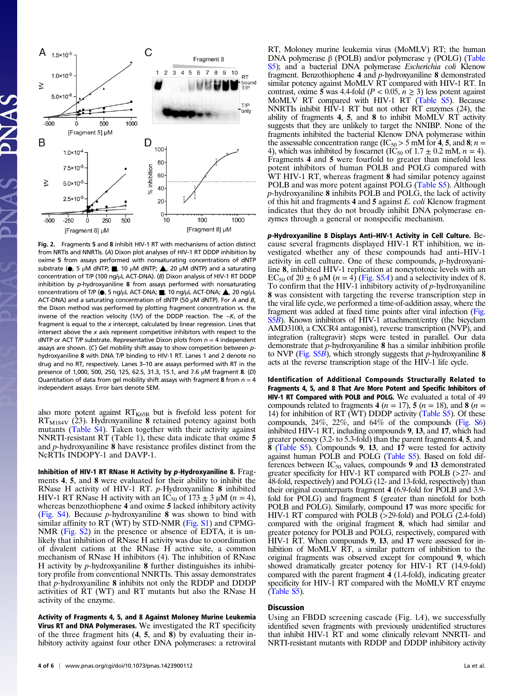

Fig. 2. Fragments 5 and 8 inhibit HIV-1 RT with mechanisms of action distinct from NRTIs and NNRTIs. (A) Dixon plot analyses of HIV-1 RT DDDP inhibition by oxime 5 from assays performed with nonsaturating concentrations of dNTP substrate ( $\bullet$ , 5 μM dNTP; , 10 μM dNTP;  $\blacktriangle$ , 20 μM dNTP) and a saturating concentration of T/P (100 ng/μL ACT-DNA). (B) Dixon analysis of HIV-1 RT DDDP inhibition by p-hydroxyaniline 8 from assays performed with nonsaturating concentrations of T/P (●, 5 ng/μL ACT-DNA; ■, 10 ng/μL ACT-DNA; ▲, 20 ng/μL ACT-DNA) and a saturating concentration of dNTP (50  $\mu$ M dNTP). For A and B, the Dixon method was performed by plotting fragment concentration vs. the inverse of the reaction velocity (1/V) of the DDDP reaction. The  $-K_i$  of the fragment is equal to the  $x$  intercept, calculated by linear regression. Lines that intersect above the  $x$  axis represent competitive inhibitors with respect to the dNTP or ACT T/P substrate. Representative Dixon plots from  $n = 4$  independent assays are shown. (C) Gel mobility shift assay to show competition between phydroxyaniline 8 with DNA T/P binding to HIV-1 RT. Lanes 1 and 2 denote no drug and no RT, respectively. Lanes 3–10 are assays performed with RT in the presence of 1,000, 500, 250, 125, 62.5, 31.3, 15.1, and 7.6 μM fragment 8. (D) Quantitation of data from gel mobility shift assays with fragment 8 from  $n = 4$ independent assays. Error bars denote SEM.

also more potent against  $RT_{K65R}$  but is fivefold less potent for  $RT_{M184V}$  (23). Hydroxyaniline 8 retained potency against both mutants ([Table S4\)](http://www.pnas.org/lookup/suppl/doi:10.1073/pnas.1423900112/-/DCSupplemental/pnas.201423900SI.pdf?targetid=nameddest=ST4). Taken together with their activity against NNRTI-resistant RT (Table 1), these data indicate that oxime 5 and p-hydroxyaniline 8 have resistance profiles distinct from the NcRTIs INDOPY-1 and DAVP-1.

Inhibition of HIV-1 RT RNase H Activity by p-Hydroxyaniline 8. Fragments 4, 5, and 8 were evaluated for their ability to inhibit the RNase H activity of HIV-1 RT. p-Hydroxyaniline 8 inhibited HIV-1 RT RNase H activity with an IC<sub>50</sub> of 173  $\pm$  3  $\mu$ M (*n* = 4), whereas benzothiophene 4 and oxime 5 lacked inhibitory activity [\(Fig. S4\)](http://www.pnas.org/lookup/suppl/doi:10.1073/pnas.1423900112/-/DCSupplemental/pnas.201423900SI.pdf?targetid=nameddest=SF4). Because p-hydroxyaniline 8 was shown to bind with similar affinity to RT (WT) by STD-NMR [\(Fig. S1](http://www.pnas.org/lookup/suppl/doi:10.1073/pnas.1423900112/-/DCSupplemental/pnas.201423900SI.pdf?targetid=nameddest=SF1)) and CPMG-NMR ([Fig. S2\)](http://www.pnas.org/lookup/suppl/doi:10.1073/pnas.1423900112/-/DCSupplemental/pnas.201423900SI.pdf?targetid=nameddest=SF2) in the presence or absence of EDTA, it is unlikely that inhibition of RNase H activity was due to coordination of divalent cations at the RNase H active site, a common mechanism of RNase H inhibitors (4). The inhibition of RNase H activity by  $p$ -hydroxyaniline 8 further distinguishes its inhibitory profile from conventional NNRTIs. This assay demonstrates that  $p$ -hydroxyaniline  $\bf{8}$  inhibits not only the RDDP and DDDP activities of RT (WT) and RT mutants but also the RNase H activity of the enzyme.

Activity of Fragments 4, 5, and 8 Against Moloney Murine Leukemia Virus RT and DNA Polymerases. We investigated the RT specificity of the three fragment hits (4, 5, and 8) by evaluating their inhibitory activity against four other DNA polymerases: a retroviral

RT, Moloney murine leukemia virus (MoMLV) RT; the human DNA polymerase β (POLB) and/or polymerase  $\gamma$  (POLG) [\(Table](http://www.pnas.org/lookup/suppl/doi:10.1073/pnas.1423900112/-/DCSupplemental/pnas.201423900SI.pdf?targetid=nameddest=ST5) [S5](http://www.pnas.org/lookup/suppl/doi:10.1073/pnas.1423900112/-/DCSupplemental/pnas.201423900SI.pdf?targetid=nameddest=ST5)); and a bacterial DNA polymerase Escherichia coli Klenow fragment. Benzothiophene 4 and p-hydroxyaniline 8 demonstrated similar potency against MoMLV RT compared with HIV-1 RT. In contrast, oxime 5 was 4.4-fold ( $P < 0.05$ ,  $n \ge 3$ ) less potent against MoMLV RT compared with HIV-1 RT [\(Table S5\)](http://www.pnas.org/lookup/suppl/doi:10.1073/pnas.1423900112/-/DCSupplemental/pnas.201423900SI.pdf?targetid=nameddest=ST5). Because NNRTIs inhibit HIV-1 RT but not other RT enzymes (24), the ability of fragments 4, 5, and 8 to inhibit MoMLV RT activity suggests that they are unlikely to target the NNIBP. None of the fragments inhibited the bacterial Klenow DNA polymerase within the assessable concentration range (IC<sub>50</sub> > 5 mM for 4, 5, and 8;  $n =$ 4), which was inhibited by foscarnet (IC<sub>50</sub> of  $1.7 \pm 0.2$  mM,  $n = 4$ ). Fragments 4 and 5 were fourfold to greater than ninefold less potent inhibitors of human POLB and POLG compared with WT HIV-1 RT, whereas fragment 8 had similar potency against POLB and was more potent against POLG [\(Table S5\)](http://www.pnas.org/lookup/suppl/doi:10.1073/pnas.1423900112/-/DCSupplemental/pnas.201423900SI.pdf?targetid=nameddest=ST5). Although  $p$ -hydroxyaniline 8 inhibits POLB and POLG, the lack of activity of this hit and fragments 4 and 5 against E. coli Klenow fragment indicates that they do not broadly inhibit DNA polymerase enzymes through a general or nonspecific mechanism.

p-Hydroxyaniline 8 Displays Anti–HIV-1 Activity in Cell Culture. Because several fragments displayed HIV-1 RT inhibition, we investigated whether any of these compounds had anti–HIV-1 activity in cell culture. One of these compounds, p-hydroxyaniline 8, inhibited HIV‐1 replication at noncytotoxic levels with an EC<sub>50</sub> of 20  $\pm$  6  $\mu$ M (*n* = 4) ([Fig. S5](http://www.pnas.org/lookup/suppl/doi:10.1073/pnas.1423900112/-/DCSupplemental/pnas.201423900SI.pdf?targetid=nameddest=SF5)*A*) and a selectivity index of 8. To confirm that the  $HIV-1$  inhibitory activity of p-hydroxyaniline 8 was consistent with targeting the reverse transcription step in the viral life cycle, we performed a time-of-addition assay, where the fragment was added at fixed time points after viral infection ([Fig.](http://www.pnas.org/lookup/suppl/doi:10.1073/pnas.1423900112/-/DCSupplemental/pnas.201423900SI.pdf?targetid=nameddest=SF5) [S5](http://www.pnas.org/lookup/suppl/doi:10.1073/pnas.1423900112/-/DCSupplemental/pnas.201423900SI.pdf?targetid=nameddest=SF5)B). Known inhibitors of HIV-1 attachment/entry (the bicyclam AMD3100, a CXCR4 antagonist), reverse transcription (NVP), and integration (raltegravir) steps were tested in parallel. Our data demonstrate that  $p$ -hydroxyaniline  $\bf{8}$  has a similar inhibition profile to NVP (Fig.  $S5B$ ), which strongly suggests that *p*-hydroxyaniline **8** acts at the reverse transcription stage of the HIV-1 life cycle.

Identification of Additional Compounds Structurally Related to Fragments 4, 5, and 8 That Are More Potent and Specific Inhibitors of HIV-1 RT Compared with POLB and POLG. We evaluated a total of 49 compounds related to fragments 4 ( $n = 17$ ), 5 ( $n = 18$ ), and 8 ( $n =$ 14) for inhibition of RT ( $WT$ ) DDDP activity ([Table S5](http://www.pnas.org/lookup/suppl/doi:10.1073/pnas.1423900112/-/DCSupplemental/pnas.201423900SI.pdf?targetid=nameddest=ST5)). Of these compounds, 24%, 22%, and 64% of the compounds ([Fig. S6](http://www.pnas.org/lookup/suppl/doi:10.1073/pnas.1423900112/-/DCSupplemental/pnas.201423900SI.pdf?targetid=nameddest=SF6)) inhibited HIV-1 RT, including compounds 9, 13, and 17, which had greater potency (3.2- to 5.3-fold) than the parent fragments 4, 5, and 8 [\(Table S5\)](http://www.pnas.org/lookup/suppl/doi:10.1073/pnas.1423900112/-/DCSupplemental/pnas.201423900SI.pdf?targetid=nameddest=ST5). Compounds 9, 13, and 17 were tested for activity against human POLB and POLG [\(Table S5](http://www.pnas.org/lookup/suppl/doi:10.1073/pnas.1423900112/-/DCSupplemental/pnas.201423900SI.pdf?targetid=nameddest=ST5)). Based on fold differences between  $IC_{50}$  values, compounds 9 and 13 demonstrated greater specificity for HIV-1 RT compared with POLB (>27- and 48-fold, respectively) and POLG (12- and 13-fold, respectively) than their original counterparts fragment 4 (6.9-fold for POLB and 3.9 fold for POLG) and fragment 5 (greater than ninefold for both POLB and POLG). Similarly, compound 17 was more specific for HIV-1 RT compared with POLB (>29-fold) and POLG (2.4-fold) compared with the original fragment 8, which had similar and greater potency for POLB and POLG, respectively, compared with HIV-1 RT. When compounds 9, 13, and 17 were assessed for inhibition of MoMLV RT, a similar pattern of inhibition to the original fragments was observed except for compound 9, which showed dramatically greater potency for HIV-1 RT (14.9-fold) compared with the parent fragment 4 (1.4-fold), indicating greater specificity for HIV-1 RT compared with the MoMLV RT enzyme ([Table S5](http://www.pnas.org/lookup/suppl/doi:10.1073/pnas.1423900112/-/DCSupplemental/pnas.201423900SI.pdf?targetid=nameddest=ST5)).

### **Discussion**

Using an FBDD screening cascade (Fig.  $1A$ ), we successfully identified seven fragments with previously unidentified structures that inhibit HIV-1 RT and some clinically relevant NNRTI- and NRTI-resistant mutants with RDDP and DDDP inhibitory activity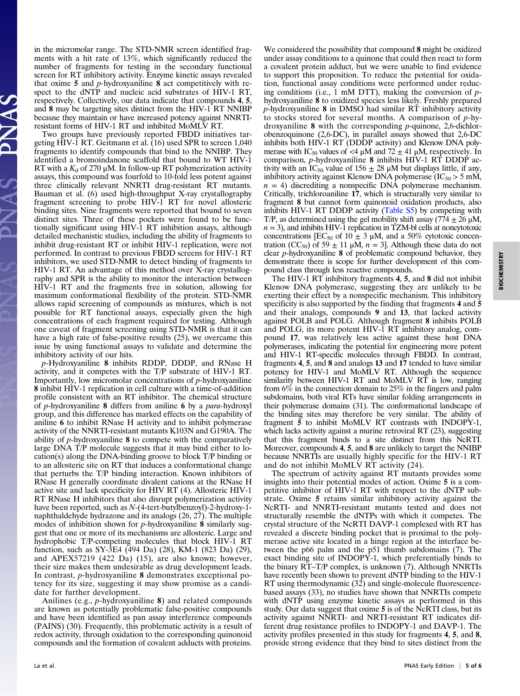in the micromolar range. The STD-NMR screen identified fragments with a hit rate of 13%, which significantly reduced the number of fragments for testing in the secondary functional screen for RT inhibitory activity. Enzyme kinetic assays revealed that oxime  $5$  and  $p$ -hydroxyaniline  $8$  act competitively with respect to the dNTP and nucleic acid substrates of HIV-1 RT, respectively. Collectively, our data indicate that compounds 4, 5, and 8 may be targeting sites distinct from the HIV-1 RT NNIBP because they maintain or have increased potency against NNRTIresistant forms of HIV-1 RT and inhibited MoMLV RT.

Two groups have previously reported FBDD initiatives targeting HIV-1 RT. Geitmann et al. (16) used SPR to screen 1,040 fragments to identify compounds that bind to the NNIBP. They identified a bromoindanone scaffold that bound to WT HIV-1 RT with a  $K_d$  of 270 µM. In follow-up RT polymerization activity assays, this compound was fourfold to 10-fold less potent against three clinically relevant NNRTI drug-resistant RT mutants. Bauman et al. (6) used high-throughput X-ray crystallography fragment screening to probe HIV-1 RT for novel allosteric binding sites. Nine fragments were reported that bound to seven distinct sites. Three of these pockets were found to be functionally significant using HIV-1 RT inhibition assays, although detailed mechanistic studies, including the ability of fragments to inhibit drug-resistant RT or inhibit HIV-1 replication, were not performed. In contrast to previous FBDD screens for HIV-1 RT inhibitors, we used STD-NMR to detect binding of fragments to HIV-1 RT. An advantage of this method over X-ray crystallography and SPR is the ability to monitor the interaction between HIV-1 RT and the fragments free in solution, allowing for maximum conformational flexibility of the protein. STD-NMR allows rapid screening of compounds as mixtures, which is not possible for RT functional assays, especially given the high concentrations of each fragment required for testing. Although one caveat of fragment screening using STD-NMR is that it can have a high rate of false-positive results (25), we overcame this issue by using functional assays to validate and determine the inhibitory activity of our hits.

p-Hydroxyaniline 8 inhibits RDDP, DDDP, and RNase H activity, and it competes with the T/P substrate of HIV‐1 RT. Importantly, low micromolar concentrations of p-hydroxyaniline 8 inhibit HIV-1 replication in cell culture with a time-of-addition profile consistent with an RT inhibitor. The chemical structure of p-hydroxyaniline 8 differs from aniline 6 by a para-hydroxyl group, and this difference has marked effects on the capability of aniline 6 to inhibit RNase H activity and to inhibit polymerase activity of the NNRTI‐resistant mutants K103N and G190A. The ability of p-hydroxyaniline 8 to compete with the comparatively large DNA T/P molecule suggests that it may bind either to location(s) along the DNA-binding groove to block T/P binding or to an allosteric site on RT that induces a conformational change that perturbs the T/P binding interaction. Known inhibitors of RNase H generally coordinate divalent cations at the RNase H active site and lack specificity for HIV RT (4). Allosteric HIV-1 RT RNase H inhibitors that also disrupt polymerization activity have been reported, such as N-(4-tert-butylbenzoyl)-2-hydroxy-1 naphthaldehyde hydrazone and its analogs (26, 27). The multiple modes of inhibition shown for  $p$ -hydroxyaniline  $\bf{8}$  similarly suggest that one or more of its mechanisms are allosteric. Large and hydrophobic T/P-competing molecules that block HIV-1 RT function, such as SY-3E4 (494 Da) (28), KM-1 (823 Da) (29), and APEX57219 (422 Da) (15), are also known; however, their size makes them undesirable as drug development leads. In contrast, p-hydroxyaniline 8 demonstrates exceptional potency for its size, suggesting it may show promise as a candidate for further development.

Anilines (e.g., p-hydroxyaniline 8) and related compounds are known as potentially problematic false-positive compounds and have been identified as pan assay interference compounds (PAINS) (30). Frequently, this problematic activity is a result of redox activity, through oxidation to the corresponding quinonoid compounds and the formation of covalent adducts with proteins.

We considered the possibility that compound 8 might be oxidized under assay conditions to a quinone that could then react to form a covalent protein adduct, but we were unable to find evidence to support this proposition. To reduce the potential for oxidation, functional assay conditions were performed under reducing conditions (i.e., 1 mM DTT), making the conversion of  $p$ hydroxyaniline 8 to oxidized species less likely. Freshly prepared p-hydroxyaniline 8 in DMSO had similar RT inhibitory activity to stocks stored for several months. A comparison of p-hydroxyaniline 8 with the corresponding p-quinone, 2,6-dichlorobenzoquinone (2,6-DC), in parallel assays showed that 2,6-DC inhibits both HIV-1 RT (DDDP activity) and Klenow DNA polymerase with IC<sub>50</sub> values of <4  $\mu$ M and 72  $\pm$  41  $\mu$ M, respectively. In comparison, *p*-hydroxyaniline 8 inhibits HIV-1 RT DDDP activity with an IC<sub>50</sub> value of 156  $\pm$  28  $\mu$ M but displays little, if any, inhibitory activity against Klenow DNA polymerase  $(IC_{50} > 5 \text{ mM})$ ,  $n = 4$ ) discrediting a nonspecific DNA polymerase mechanism. Critically, trichloroaniline 17, which is structurally very similar to fragment 8 but cannot form quinonoid oxidation products, also inhibits HIV-1 RT DDDP activity ([Table S5](http://www.pnas.org/lookup/suppl/doi:10.1073/pnas.1423900112/-/DCSupplemental/pnas.201423900SI.pdf?targetid=nameddest=ST5)) by competing with T/P, as determined using the gel mobility shift assay (774  $\pm$  26  $\mu$ M,  $n = 3$ ), and inhibits HIV-1 replication in TZM-bl cells at noncytotoxic concentrations [EC<sub>50</sub> of 10  $\pm$  3  $\mu$ M, and a 50% cytotoxic concentration (CC<sub>50</sub>) of 59  $\pm$  11  $\mu$ M,  $n = 3$ ]. Although these data do not clear p-hydroxyaniline 8 of problematic compound behavior, they demonstrate there is scope for further development of this compound class through less reactive compounds.

The HIV-1 RT inhibitory fragments 4, 5, and 8 did not inhibit Klenow DNA polymerase, suggesting they are unlikely to be exerting their effect by a nonspecific mechanism. This inhibitory specificity is also supported by the finding that fragments 4 and 5 and their analogs, compounds 9 and 13, that lacked activity against POLB and POLG. Although fragment 8 inhibits POLB and POLG, its more potent HIV-1 RT inhibitory analog, compound 17, was relatively less active against these host DNA polymerases, indicating the potential for engineering more potent and HIV-1 RT-specific molecules through FBDD. In contrast, fragments 4, 5, and 8 and analogs 13 and 17 tended to have similar potency for HIV-1 and MoMLV RT. Although the sequence similarity between HIV-1 RT and MoMLV RT is low, ranging from 6% in the connection domain to 25% in the fingers and palm subdomains, both viral RTs have similar folding arrangements in their polymerase domains (31). The conformational landscape of the binding sites may therefore be very similar. The ability of fragment 5 to inhibit MoMLV RT contrasts with INDOPY-1, which lacks activity against a murine retroviral RT  $(23)$ , suggesting that this fragment binds to a site distinct from this NcRTI. Moreover, compounds 4, 5, and 8 are unlikely to target the NNIBP because NNRTIs are usually highly specific for the HIV-1 RT and do not inhibit MoMLV RT activity (24).

The spectrum of activity against RT mutants provides some insights into their potential modes of action. Oxime 5 is a competitive inhibitor of HIV-1 RT with respect to the dNTP substrate. Oxime 5 retains similar inhibitory activity against the NcRTI- and NNRTI‐resistant mutants tested and does not structurally resemble the dNTPs with which it competes. The crystal structure of the NcRTI DAVP-1 complexed with RT has revealed a discrete binding pocket that is proximal to the polymerase active site located in a hinge region at the interface between the p66 palm and the p51 thumb subdomains (7). The exact binding site of INDOPY-1, which preferentially binds to the binary RT–T/P complex, is unknown (7). Although NNRTIs have recently been shown to prevent dNTP binding to the HIV-1 RT using thermodynamic (32) and single-molecule fluorescencebased assays (33), no studies have shown that NNRTIs compete with dNTP using enzyme kinetic assays as performed in this study. Our data suggest that oxime 5 is of the NcRTI class, but its activity against NNRTI- and NRTI-resistant RT indicates different drug resistance profiles to INDOPY-1 and DAVP-1. The activity profiles presented in this study for fragments 4, 5, and 8, provide strong evidence that they bind to sites distinct from the